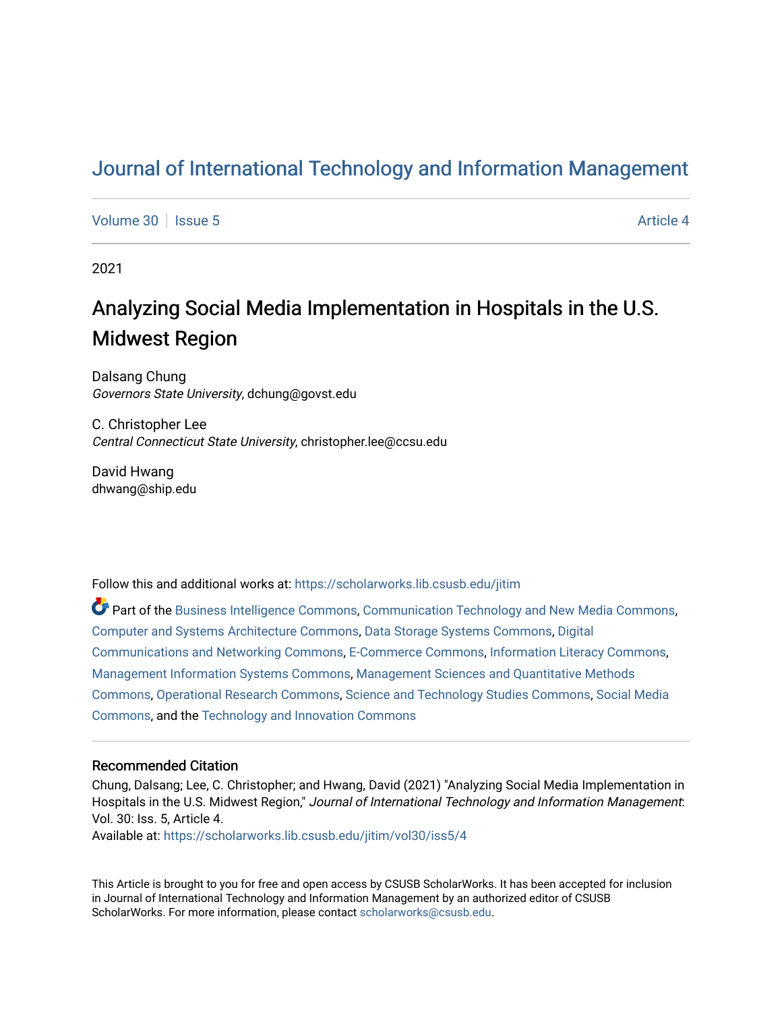# [Journal of International Technology and Information Management](https://scholarworks.lib.csusb.edu/jitim)

[Volume 30](https://scholarworks.lib.csusb.edu/jitim/vol30) | [Issue 5](https://scholarworks.lib.csusb.edu/jitim/vol30/iss5) Article 4

2021

# Analyzing Social Media Implementation in Hospitals in the U.S. Midwest Region

Dalsang Chung Governors State University, dchung@govst.edu

C. Christopher Lee Central Connecticut State University, christopher.lee@ccsu.edu

David Hwang dhwang@ship.edu

Follow this and additional works at: [https://scholarworks.lib.csusb.edu/jitim](https://scholarworks.lib.csusb.edu/jitim?utm_source=scholarworks.lib.csusb.edu%2Fjitim%2Fvol30%2Fiss5%2F4&utm_medium=PDF&utm_campaign=PDFCoverPages) 

Part of the [Business Intelligence Commons,](https://network.bepress.com/hgg/discipline/1326?utm_source=scholarworks.lib.csusb.edu%2Fjitim%2Fvol30%2Fiss5%2F4&utm_medium=PDF&utm_campaign=PDFCoverPages) [Communication Technology and New Media Commons,](https://network.bepress.com/hgg/discipline/327?utm_source=scholarworks.lib.csusb.edu%2Fjitim%2Fvol30%2Fiss5%2F4&utm_medium=PDF&utm_campaign=PDFCoverPages) [Computer and Systems Architecture Commons](https://network.bepress.com/hgg/discipline/259?utm_source=scholarworks.lib.csusb.edu%2Fjitim%2Fvol30%2Fiss5%2F4&utm_medium=PDF&utm_campaign=PDFCoverPages), [Data Storage Systems Commons](https://network.bepress.com/hgg/discipline/261?utm_source=scholarworks.lib.csusb.edu%2Fjitim%2Fvol30%2Fiss5%2F4&utm_medium=PDF&utm_campaign=PDFCoverPages), [Digital](https://network.bepress.com/hgg/discipline/262?utm_source=scholarworks.lib.csusb.edu%2Fjitim%2Fvol30%2Fiss5%2F4&utm_medium=PDF&utm_campaign=PDFCoverPages) [Communications and Networking Commons](https://network.bepress.com/hgg/discipline/262?utm_source=scholarworks.lib.csusb.edu%2Fjitim%2Fvol30%2Fiss5%2F4&utm_medium=PDF&utm_campaign=PDFCoverPages), [E-Commerce Commons](https://network.bepress.com/hgg/discipline/624?utm_source=scholarworks.lib.csusb.edu%2Fjitim%2Fvol30%2Fiss5%2F4&utm_medium=PDF&utm_campaign=PDFCoverPages), [Information Literacy Commons,](https://network.bepress.com/hgg/discipline/1243?utm_source=scholarworks.lib.csusb.edu%2Fjitim%2Fvol30%2Fiss5%2F4&utm_medium=PDF&utm_campaign=PDFCoverPages) [Management Information Systems Commons,](https://network.bepress.com/hgg/discipline/636?utm_source=scholarworks.lib.csusb.edu%2Fjitim%2Fvol30%2Fiss5%2F4&utm_medium=PDF&utm_campaign=PDFCoverPages) [Management Sciences and Quantitative Methods](https://network.bepress.com/hgg/discipline/637?utm_source=scholarworks.lib.csusb.edu%2Fjitim%2Fvol30%2Fiss5%2F4&utm_medium=PDF&utm_campaign=PDFCoverPages) [Commons](https://network.bepress.com/hgg/discipline/637?utm_source=scholarworks.lib.csusb.edu%2Fjitim%2Fvol30%2Fiss5%2F4&utm_medium=PDF&utm_campaign=PDFCoverPages), [Operational Research Commons](https://network.bepress.com/hgg/discipline/308?utm_source=scholarworks.lib.csusb.edu%2Fjitim%2Fvol30%2Fiss5%2F4&utm_medium=PDF&utm_campaign=PDFCoverPages), [Science and Technology Studies Commons,](https://network.bepress.com/hgg/discipline/435?utm_source=scholarworks.lib.csusb.edu%2Fjitim%2Fvol30%2Fiss5%2F4&utm_medium=PDF&utm_campaign=PDFCoverPages) [Social Media](https://network.bepress.com/hgg/discipline/1249?utm_source=scholarworks.lib.csusb.edu%2Fjitim%2Fvol30%2Fiss5%2F4&utm_medium=PDF&utm_campaign=PDFCoverPages) [Commons](https://network.bepress.com/hgg/discipline/1249?utm_source=scholarworks.lib.csusb.edu%2Fjitim%2Fvol30%2Fiss5%2F4&utm_medium=PDF&utm_campaign=PDFCoverPages), and the [Technology and Innovation Commons](https://network.bepress.com/hgg/discipline/644?utm_source=scholarworks.lib.csusb.edu%2Fjitim%2Fvol30%2Fiss5%2F4&utm_medium=PDF&utm_campaign=PDFCoverPages) 

#### Recommended Citation

Chung, Dalsang; Lee, C. Christopher; and Hwang, David (2021) "Analyzing Social Media Implementation in Hospitals in the U.S. Midwest Region," Journal of International Technology and Information Management: Vol. 30: Iss. 5, Article 4.

Available at: [https://scholarworks.lib.csusb.edu/jitim/vol30/iss5/4](https://scholarworks.lib.csusb.edu/jitim/vol30/iss5/4?utm_source=scholarworks.lib.csusb.edu%2Fjitim%2Fvol30%2Fiss5%2F4&utm_medium=PDF&utm_campaign=PDFCoverPages) 

This Article is brought to you for free and open access by CSUSB ScholarWorks. It has been accepted for inclusion in Journal of International Technology and Information Management by an authorized editor of CSUSB ScholarWorks. For more information, please contact [scholarworks@csusb.edu.](mailto:scholarworks@csusb.edu)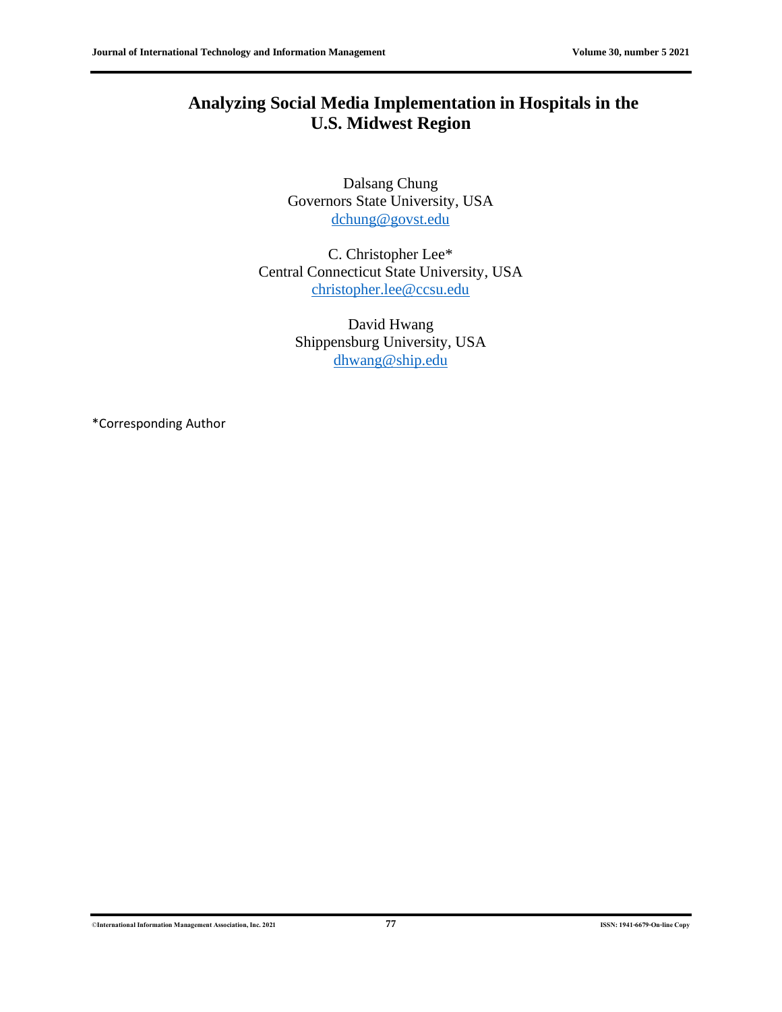## **Analyzing Social Media Implementation in Hospitals in the U.S. Midwest Region**

Dalsang Chung Governors State University, USA [dchung@govst.edu](mailto:dchung@govst.edu)

C. Christopher Lee\* Central Connecticut State University, USA [christopher.lee@ccsu.edu](mailto:christopher.lee@ccsu.edu)

> David Hwang Shippensburg University, USA [dhwang@ship.edu](mailto:dhwang@ship.edu)

\*Corresponding Author

©**International Information Management Association, Inc. 2021 77 ISSN: 1941-6679-On-line Copy**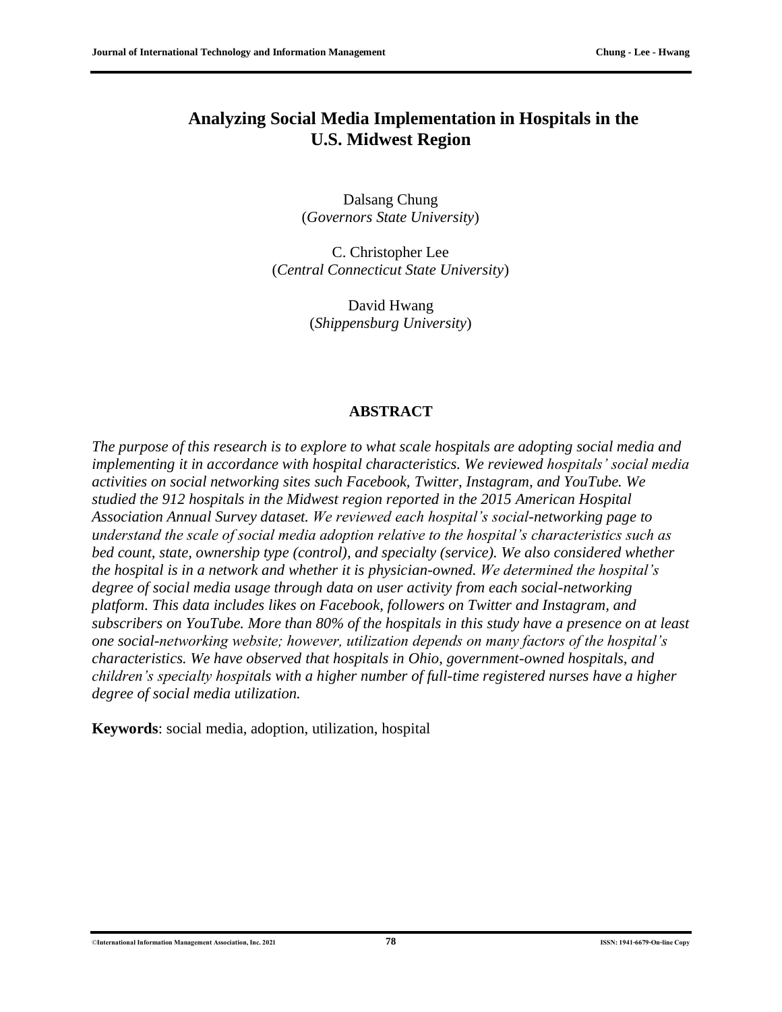### **Analyzing Social Media Implementation in Hospitals in the U.S. Midwest Region**

Dalsang Chung (*Governors State University*)

C. Christopher Lee (*Central Connecticut State University*)

> David Hwang (*Shippensburg University*)

#### **ABSTRACT**

*The purpose of this research is to explore to what scale hospitals are adopting social media and implementing it in accordance with hospital characteristics. We reviewed hospitals' social media activities on social networking sites such Facebook, Twitter, Instagram, and YouTube. We studied the 912 hospitals in the Midwest region reported in the 2015 American Hospital Association Annual Survey dataset. We reviewed each hospital's social-networking page to understand the scale of social media adoption relative to the hospital's characteristics such as bed count, state, ownership type (control), and specialty (service). We also considered whether the hospital is in a network and whether it is physician-owned. We determined the hospital's degree of social media usage through data on user activity from each social-networking platform. This data includes likes on Facebook, followers on Twitter and Instagram, and subscribers on YouTube. More than 80% of the hospitals in this study have a presence on at least one social-networking website; however, utilization depends on many factors of the hospital's characteristics. We have observed that hospitals in Ohio, government-owned hospitals, and children's specialty hospitals with a higher number of full-time registered nurses have a higher degree of social media utilization.*

**Keywords**: social media, adoption, utilization, hospital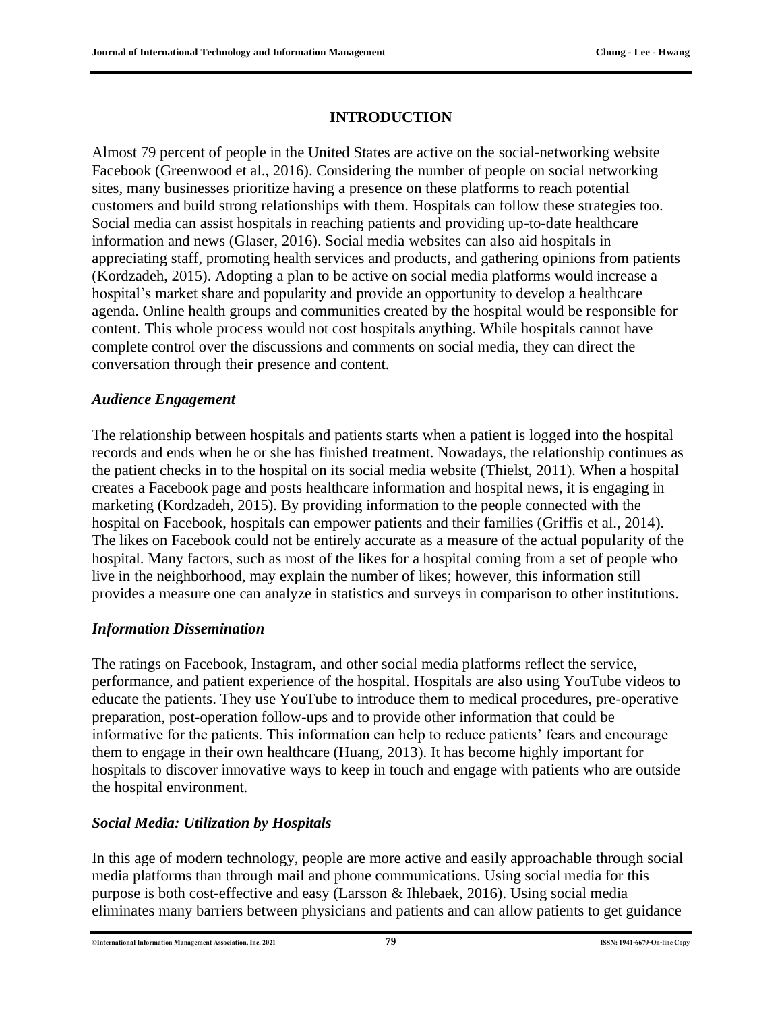#### **INTRODUCTION**

Almost 79 percent of people in the United States are active on the social-networking website Facebook (Greenwood et al., 2016). Considering the number of people on social networking sites, many businesses prioritize having a presence on these platforms to reach potential customers and build strong relationships with them. Hospitals can follow these strategies too. Social media can assist hospitals in reaching patients and providing up-to-date healthcare information and news (Glaser, 2016). Social media websites can also aid hospitals in appreciating staff, promoting health services and products, and gathering opinions from patients (Kordzadeh, 2015). Adopting a plan to be active on social media platforms would increase a hospital's market share and popularity and provide an opportunity to develop a healthcare agenda. Online health groups and communities created by the hospital would be responsible for content. This whole process would not cost hospitals anything. While hospitals cannot have complete control over the discussions and comments on social media, they can direct the conversation through their presence and content.

#### *Audience Engagement*

The relationship between hospitals and patients starts when a patient is logged into the hospital records and ends when he or she has finished treatment. Nowadays, the relationship continues as the patient checks in to the hospital on its social media website (Thielst, 2011). When a hospital creates a Facebook page and posts healthcare information and hospital news, it is engaging in marketing (Kordzadeh, 2015). By providing information to the people connected with the hospital on Facebook, hospitals can empower patients and their families (Griffis et al., 2014). The likes on Facebook could not be entirely accurate as a measure of the actual popularity of the hospital. Many factors, such as most of the likes for a hospital coming from a set of people who live in the neighborhood, may explain the number of likes; however, this information still provides a measure one can analyze in statistics and surveys in comparison to other institutions.

#### *Information Dissemination*

The ratings on Facebook, Instagram, and other social media platforms reflect the service, performance, and patient experience of the hospital. Hospitals are also using YouTube videos to educate the patients. They use YouTube to introduce them to medical procedures, pre-operative preparation, post-operation follow-ups and to provide other information that could be informative for the patients. This information can help to reduce patients' fears and encourage them to engage in their own healthcare (Huang, 2013). It has become highly important for hospitals to discover innovative ways to keep in touch and engage with patients who are outside the hospital environment.

#### *Social Media: Utilization by Hospitals*

In this age of modern technology, people are more active and easily approachable through social media platforms than through mail and phone communications. Using social media for this purpose is both cost-effective and easy (Larsson & Ihlebaek, 2016). Using social media eliminates many barriers between physicians and patients and can allow patients to get guidance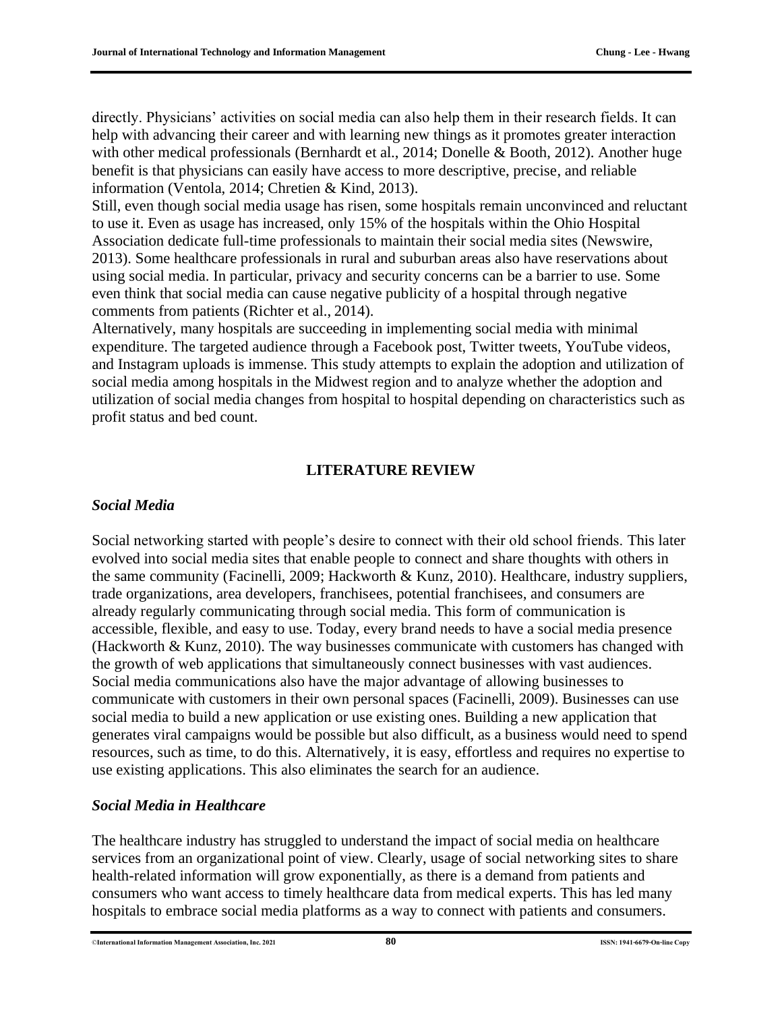directly. Physicians' activities on social media can also help them in their research fields. It can help with advancing their career and with learning new things as it promotes greater interaction with other medical professionals (Bernhardt et al., 2014; Donelle & Booth, 2012). Another huge benefit is that physicians can easily have access to more descriptive, precise, and reliable information (Ventola, 2014; Chretien & Kind, 2013).

Still, even though social media usage has risen, some hospitals remain unconvinced and reluctant to use it. Even as usage has increased, only 15% of the hospitals within the Ohio Hospital Association dedicate full-time professionals to maintain their social media sites (Newswire, 2013). Some healthcare professionals in rural and suburban areas also have reservations about using social media. In particular, privacy and security concerns can be a barrier to use. Some even think that social media can cause negative publicity of a hospital through negative comments from patients (Richter et al., 2014).

Alternatively, many hospitals are succeeding in implementing social media with minimal expenditure. The targeted audience through a Facebook post, Twitter tweets, YouTube videos, and Instagram uploads is immense. This study attempts to explain the adoption and utilization of social media among hospitals in the Midwest region and to analyze whether the adoption and utilization of social media changes from hospital to hospital depending on characteristics such as profit status and bed count.

#### **LITERATURE REVIEW**

#### *Social Media*

Social networking started with people's desire to connect with their old school friends. This later evolved into social media sites that enable people to connect and share thoughts with others in the same community (Facinelli, 2009; Hackworth & Kunz, 2010). Healthcare, industry suppliers, trade organizations, area developers, franchisees, potential franchisees, and consumers are already regularly communicating through social media. This form of communication is accessible, flexible, and easy to use. Today, every brand needs to have a social media presence (Hackworth & Kunz, 2010). The way businesses communicate with customers has changed with the growth of web applications that simultaneously connect businesses with vast audiences. Social media communications also have the major advantage of allowing businesses to communicate with customers in their own personal spaces (Facinelli, 2009). Businesses can use social media to build a new application or use existing ones. Building a new application that generates viral campaigns would be possible but also difficult, as a business would need to spend resources, such as time, to do this. Alternatively, it is easy, effortless and requires no expertise to use existing applications. This also eliminates the search for an audience.

#### *Social Media in Healthcare*

The healthcare industry has struggled to understand the impact of social media on healthcare services from an organizational point of view. Clearly, usage of social networking sites to share health-related information will grow exponentially, as there is a demand from patients and consumers who want access to timely healthcare data from medical experts. This has led many hospitals to embrace social media platforms as a way to connect with patients and consumers.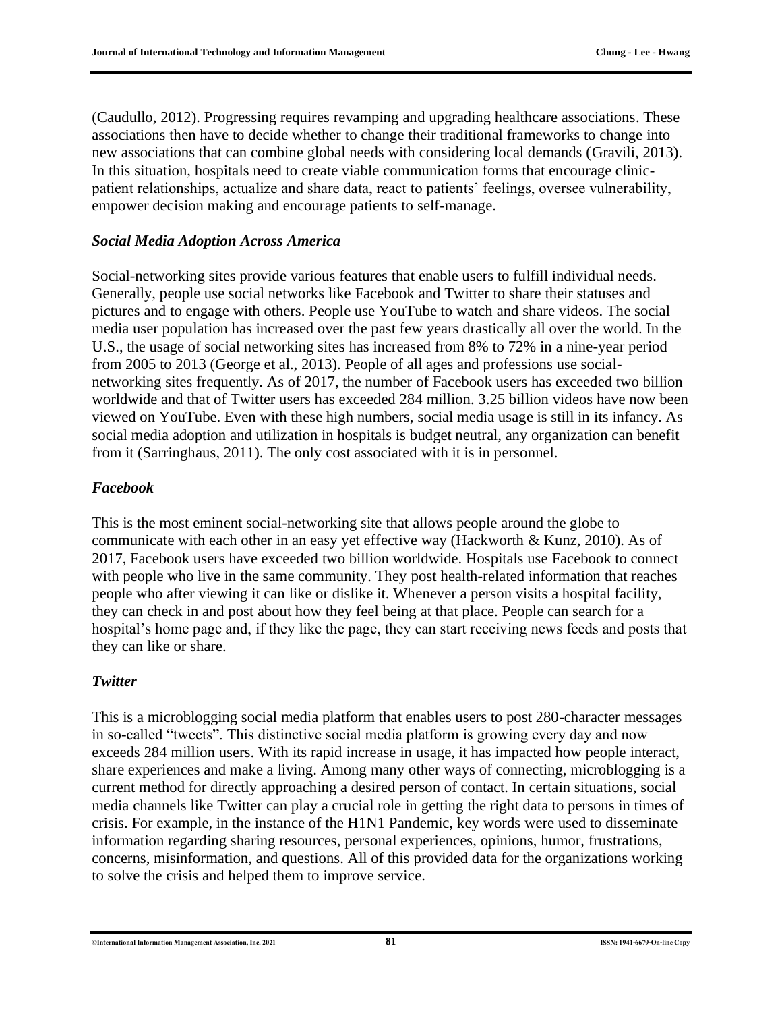(Caudullo, 2012). Progressing requires revamping and upgrading healthcare associations. These associations then have to decide whether to change their traditional frameworks to change into new associations that can combine global needs with considering local demands (Gravili, 2013). In this situation, hospitals need to create viable communication forms that encourage clinicpatient relationships, actualize and share data, react to patients' feelings, oversee vulnerability, empower decision making and encourage patients to self-manage.

#### *Social Media Adoption Across America*

Social-networking sites provide various features that enable users to fulfill individual needs. Generally, people use social networks like Facebook and Twitter to share their statuses and pictures and to engage with others. People use YouTube to watch and share videos. The social media user population has increased over the past few years drastically all over the world. In the U.S., the usage of social networking sites has increased from 8% to 72% in a nine-year period from 2005 to 2013 (George et al., 2013). People of all ages and professions use socialnetworking sites frequently. As of 2017, the number of Facebook users has exceeded two billion worldwide and that of Twitter users has exceeded 284 million. 3.25 billion videos have now been viewed on YouTube. Even with these high numbers, social media usage is still in its infancy. As social media adoption and utilization in hospitals is budget neutral, any organization can benefit from it (Sarringhaus, 2011). The only cost associated with it is in personnel.

#### *Facebook*

This is the most eminent social-networking site that allows people around the globe to communicate with each other in an easy yet effective way (Hackworth & Kunz, 2010). As of 2017, Facebook users have exceeded two billion worldwide. Hospitals use Facebook to connect with people who live in the same community. They post health-related information that reaches people who after viewing it can like or dislike it. Whenever a person visits a hospital facility, they can check in and post about how they feel being at that place. People can search for a hospital's home page and, if they like the page, they can start receiving news feeds and posts that they can like or share.

#### *Twitter*

This is a microblogging social media platform that enables users to post 280-character messages in so-called "tweets". This distinctive social media platform is growing every day and now exceeds 284 million users. With its rapid increase in usage, it has impacted how people interact, share experiences and make a living. Among many other ways of connecting, microblogging is a current method for directly approaching a desired person of contact. In certain situations, social media channels like Twitter can play a crucial role in getting the right data to persons in times of crisis. For example, in the instance of the H1N1 Pandemic, key words were used to disseminate information regarding sharing resources, personal experiences, opinions, humor, frustrations, concerns, misinformation, and questions. All of this provided data for the organizations working to solve the crisis and helped them to improve service.

©**International Information Management Association, Inc. 2021 81 ISSN: 1941-6679-On-line Copy**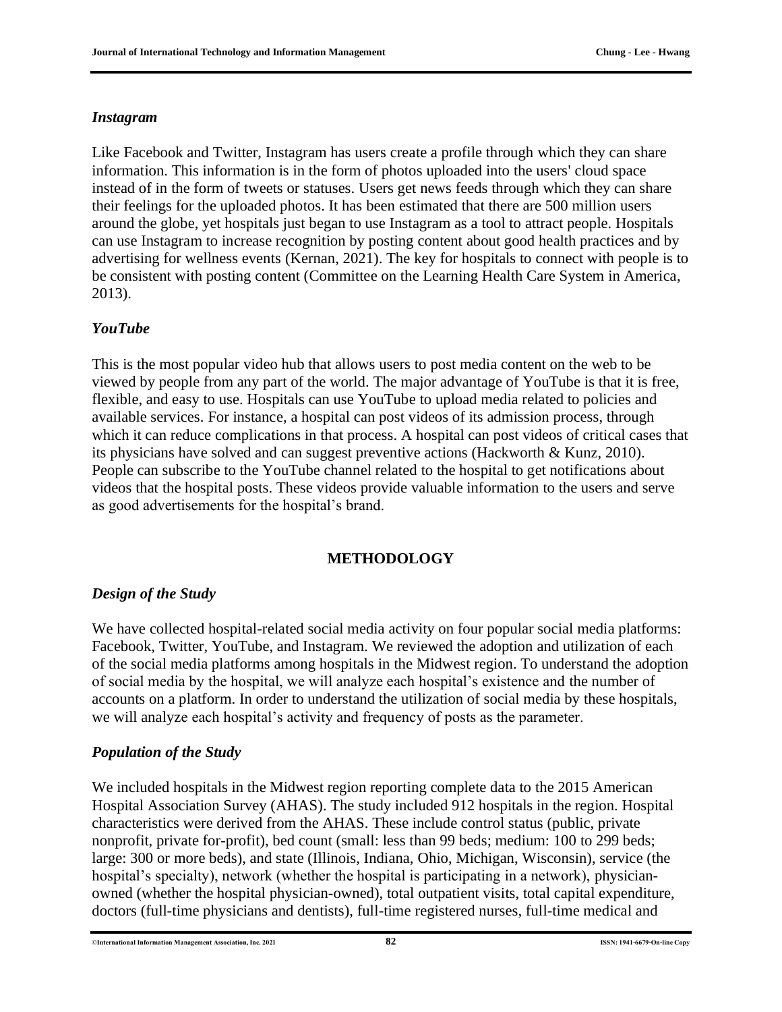#### *Instagram*

Like Facebook and Twitter, Instagram has users create a profile through which they can share information. This information is in the form of photos uploaded into the users' cloud space instead of in the form of tweets or statuses. Users get news feeds through which they can share their feelings for the uploaded photos. It has been estimated that there are 500 million users around the globe, yet hospitals just began to use Instagram as a tool to attract people. Hospitals can use Instagram to increase recognition by posting content about good health practices and by advertising for wellness events (Kernan, 2021). The key for hospitals to connect with people is to be consistent with posting content (Committee on the Learning Health Care System in America, 2013).

#### *YouTube*

This is the most popular video hub that allows users to post media content on the web to be viewed by people from any part of the world. The major advantage of YouTube is that it is free, flexible, and easy to use. Hospitals can use YouTube to upload media related to policies and available services. For instance, a hospital can post videos of its admission process, through which it can reduce complications in that process. A hospital can post videos of critical cases that its physicians have solved and can suggest preventive actions (Hackworth & Kunz, 2010). People can subscribe to the YouTube channel related to the hospital to get notifications about videos that the hospital posts. These videos provide valuable information to the users and serve as good advertisements for the hospital's brand.

#### **METHODOLOGY**

#### *Design of the Study*

We have collected hospital-related social media activity on four popular social media platforms: Facebook, Twitter, YouTube, and Instagram. We reviewed the adoption and utilization of each of the social media platforms among hospitals in the Midwest region. To understand the adoption of social media by the hospital, we will analyze each hospital's existence and the number of accounts on a platform. In order to understand the utilization of social media by these hospitals, we will analyze each hospital's activity and frequency of posts as the parameter.

#### *Population of the Study*

We included hospitals in the Midwest region reporting complete data to the 2015 American Hospital Association Survey (AHAS). The study included 912 hospitals in the region. Hospital characteristics were derived from the AHAS. These include control status (public, private nonprofit, private for-profit), bed count (small: less than 99 beds; medium: 100 to 299 beds; large: 300 or more beds), and state (Illinois, Indiana, Ohio, Michigan, Wisconsin), service (the hospital's specialty), network (whether the hospital is participating in a network), physicianowned (whether the hospital physician-owned), total outpatient visits, total capital expenditure, doctors (full-time physicians and dentists), full-time registered nurses, full-time medical and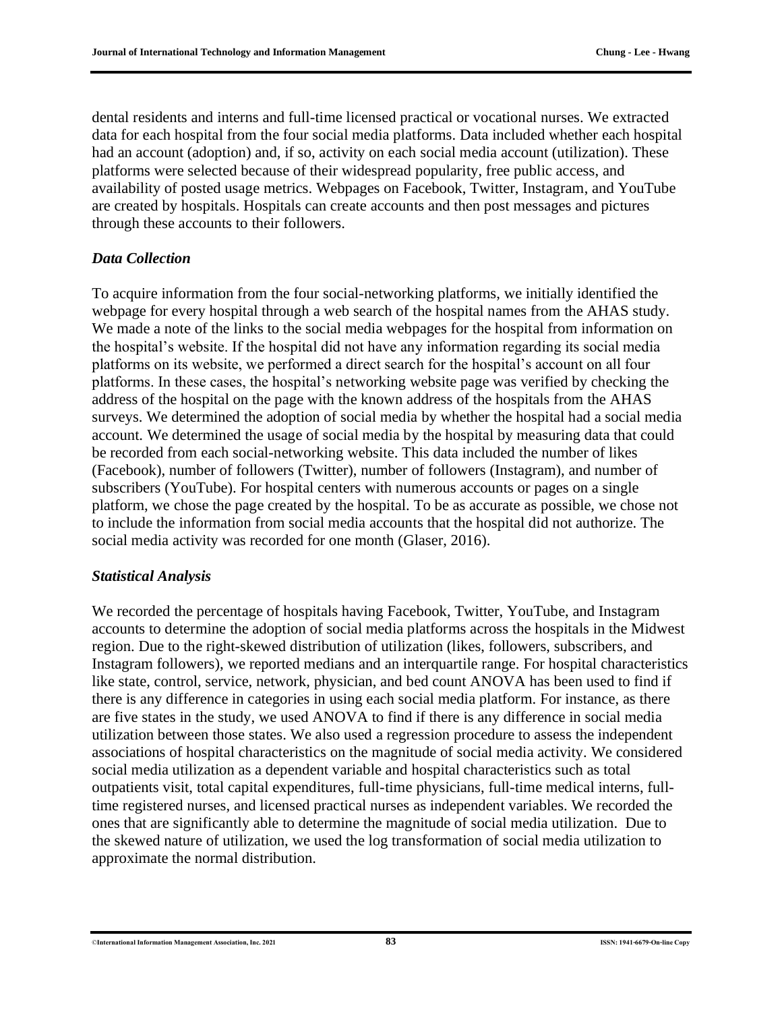dental residents and interns and full-time licensed practical or vocational nurses. We extracted data for each hospital from the four social media platforms. Data included whether each hospital had an account (adoption) and, if so, activity on each social media account (utilization). These platforms were selected because of their widespread popularity, free public access, and availability of posted usage metrics. Webpages on Facebook, Twitter, Instagram, and YouTube are created by hospitals. Hospitals can create accounts and then post messages and pictures through these accounts to their followers.

#### *Data Collection*

To acquire information from the four social-networking platforms, we initially identified the webpage for every hospital through a web search of the hospital names from the AHAS study. We made a note of the links to the social media webpages for the hospital from information on the hospital's website. If the hospital did not have any information regarding its social media platforms on its website, we performed a direct search for the hospital's account on all four platforms. In these cases, the hospital's networking website page was verified by checking the address of the hospital on the page with the known address of the hospitals from the AHAS surveys. We determined the adoption of social media by whether the hospital had a social media account. We determined the usage of social media by the hospital by measuring data that could be recorded from each social-networking website. This data included the number of likes (Facebook), number of followers (Twitter), number of followers (Instagram), and number of subscribers (YouTube). For hospital centers with numerous accounts or pages on a single platform, we chose the page created by the hospital. To be as accurate as possible, we chose not to include the information from social media accounts that the hospital did not authorize. The social media activity was recorded for one month (Glaser, 2016).

#### *Statistical Analysis*

We recorded the percentage of hospitals having Facebook, Twitter, YouTube, and Instagram accounts to determine the adoption of social media platforms across the hospitals in the Midwest region. Due to the right-skewed distribution of utilization (likes, followers, subscribers, and Instagram followers), we reported medians and an interquartile range. For hospital characteristics like state, control, service, network, physician, and bed count ANOVA has been used to find if there is any difference in categories in using each social media platform. For instance, as there are five states in the study, we used ANOVA to find if there is any difference in social media utilization between those states. We also used a regression procedure to assess the independent associations of hospital characteristics on the magnitude of social media activity. We considered social media utilization as a dependent variable and hospital characteristics such as total outpatients visit, total capital expenditures, full-time physicians, full-time medical interns, fulltime registered nurses, and licensed practical nurses as independent variables. We recorded the ones that are significantly able to determine the magnitude of social media utilization. Due to the skewed nature of utilization, we used the log transformation of social media utilization to approximate the normal distribution.

<sup>©</sup>**International Information Management Association, Inc. 2021 83 ISSN: 1941-6679-On-line Copy**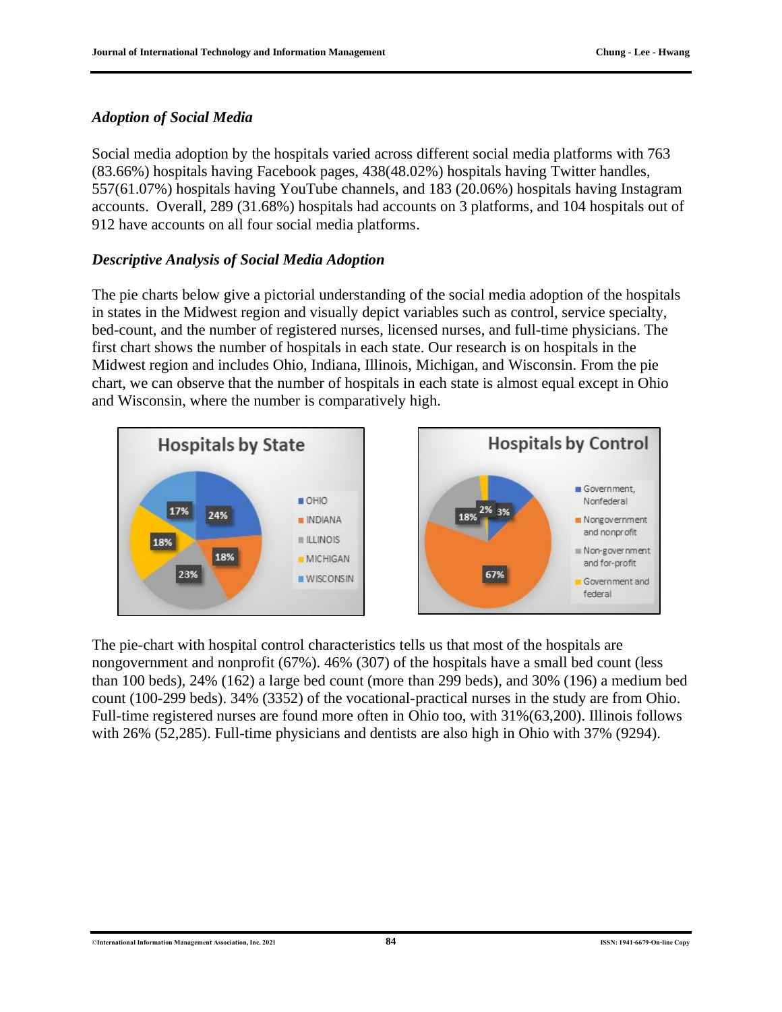#### *Adoption of Social Media*

Social media adoption by the hospitals varied across different social media platforms with 763 (83.66%) hospitals having Facebook pages, 438(48.02%) hospitals having Twitter handles, 557(61.07%) hospitals having YouTube channels, and 183 (20.06%) hospitals having Instagram accounts. Overall, 289 (31.68%) hospitals had accounts on 3 platforms, and 104 hospitals out of 912 have accounts on all four social media platforms.

#### *Descriptive Analysis of Social Media Adoption*

The pie charts below give a pictorial understanding of the social media adoption of the hospitals in states in the Midwest region and visually depict variables such as control, service specialty, bed-count, and the number of registered nurses, licensed nurses, and full-time physicians. The first chart shows the number of hospitals in each state. Our research is on hospitals in the Midwest region and includes Ohio, Indiana, Illinois, Michigan, and Wisconsin. From the pie chart, we can observe that the number of hospitals in each state is almost equal except in Ohio and Wisconsin, where the number is comparatively high.



The pie-chart with hospital control characteristics tells us that most of the hospitals are nongovernment and nonprofit (67%). 46% (307) of the hospitals have a small bed count (less than 100 beds), 24% (162) a large bed count (more than 299 beds), and 30% (196) a medium bed count (100-299 beds). 34% (3352) of the vocational-practical nurses in the study are from Ohio. Full-time registered nurses are found more often in Ohio too, with 31%(63,200). Illinois follows with 26% (52,285). Full-time physicians and dentists are also high in Ohio with 37% (9294).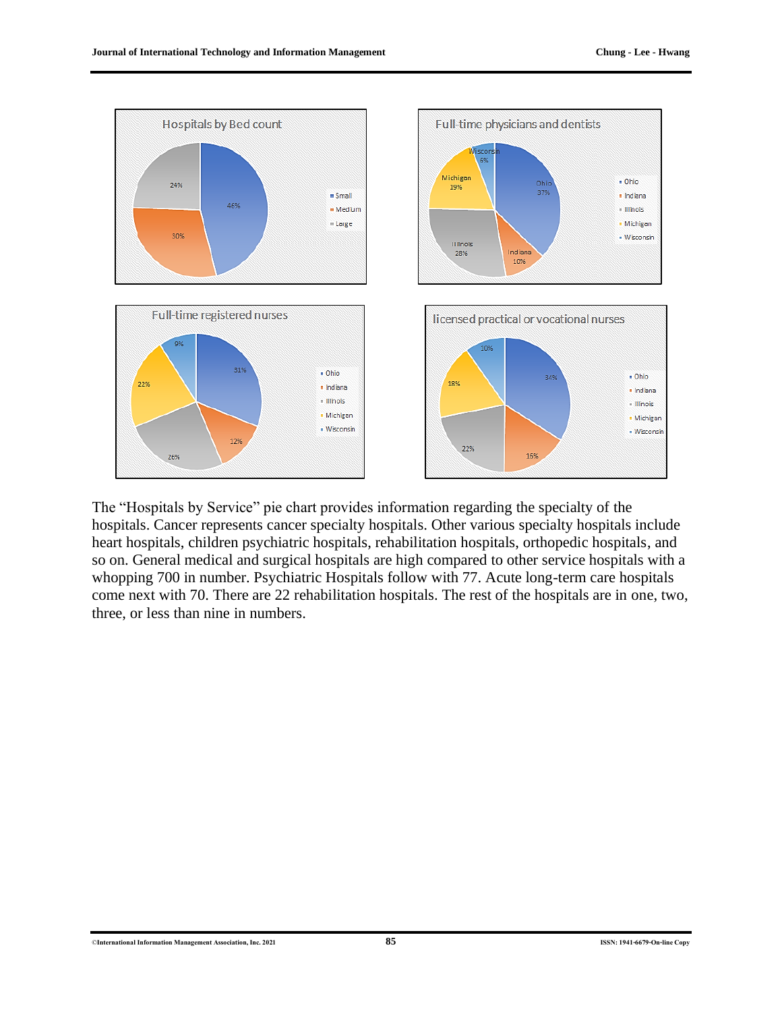

The "Hospitals by Service" pie chart provides information regarding the specialty of the hospitals. Cancer represents cancer specialty hospitals. Other various specialty hospitals include heart hospitals, children psychiatric hospitals, rehabilitation hospitals, orthopedic hospitals, and so on. General medical and surgical hospitals are high compared to other service hospitals with a whopping 700 in number. Psychiatric Hospitals follow with 77. Acute long-term care hospitals come next with 70. There are 22 rehabilitation hospitals. The rest of the hospitals are in one, two, three, or less than nine in numbers.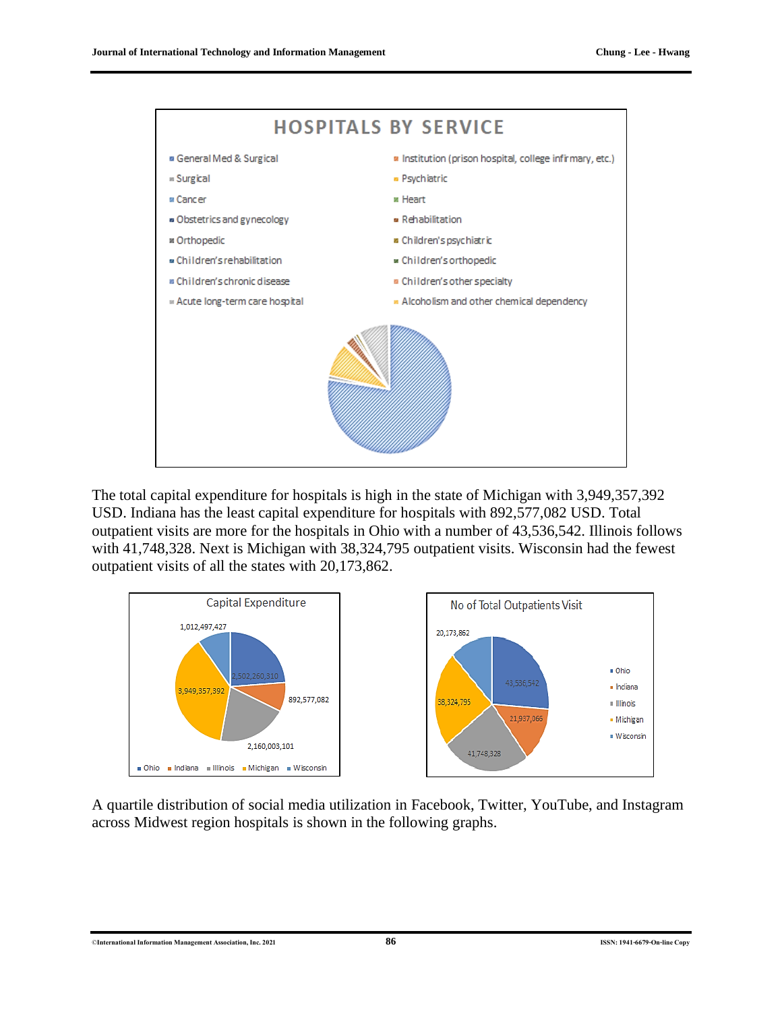

The total capital expenditure for hospitals is high in the state of Michigan with 3,949,357,392 USD. Indiana has the least capital expenditure for hospitals with 892,577,082 USD. Total outpatient visits are more for the hospitals in Ohio with a number of 43,536,542. Illinois follows with 41,748,328. Next is Michigan with 38,324,795 outpatient visits. Wisconsin had the fewest outpatient visits of all the states with 20,173,862.



A quartile distribution of social media utilization in Facebook, Twitter, YouTube, and Instagram across Midwest region hospitals is shown in the following graphs.

©**International Information Management Association, Inc. 2021 86 ISSN: 1941-6679-On-line Copy**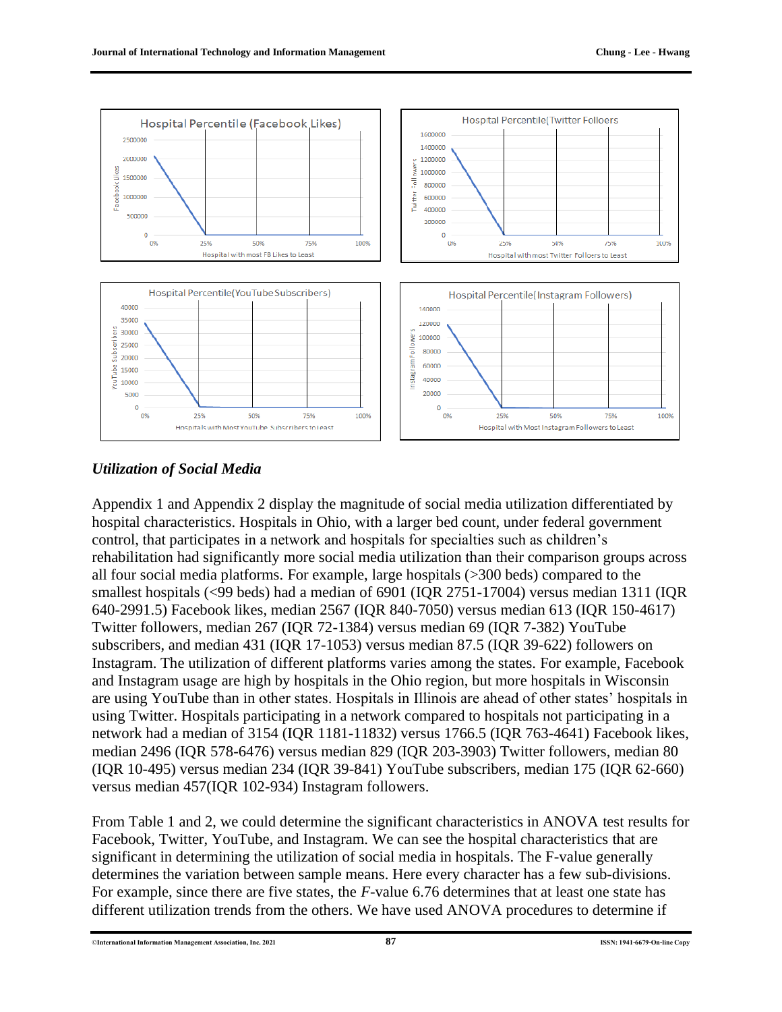

#### *Utilization of Social Media*

Appendix 1 and Appendix 2 display the magnitude of social media utilization differentiated by hospital characteristics. Hospitals in Ohio, with a larger bed count, under federal government control, that participates in a network and hospitals for specialties such as children's rehabilitation had significantly more social media utilization than their comparison groups across all four social media platforms. For example, large hospitals (>300 beds) compared to the smallest hospitals (<99 beds) had a median of 6901 (IQR 2751-17004) versus median 1311 (IQR 640-2991.5) Facebook likes, median 2567 (IQR 840-7050) versus median 613 (IQR 150-4617) Twitter followers, median 267 (IQR 72-1384) versus median 69 (IQR 7-382) YouTube subscribers, and median 431 (IQR 17-1053) versus median 87.5 (IQR 39-622) followers on Instagram. The utilization of different platforms varies among the states. For example, Facebook and Instagram usage are high by hospitals in the Ohio region, but more hospitals in Wisconsin are using YouTube than in other states. Hospitals in Illinois are ahead of other states' hospitals in using Twitter. Hospitals participating in a network compared to hospitals not participating in a network had a median of 3154 (IQR 1181-11832) versus 1766.5 (IQR 763-4641) Facebook likes, median 2496 (IQR 578-6476) versus median 829 (IQR 203-3903) Twitter followers, median 80 (IQR 10-495) versus median 234 (IQR 39-841) YouTube subscribers, median 175 (IQR 62-660) versus median 457(IQR 102-934) Instagram followers.

From Table 1 and 2, we could determine the significant characteristics in ANOVA test results for Facebook, Twitter, YouTube, and Instagram. We can see the hospital characteristics that are significant in determining the utilization of social media in hospitals. The F-value generally determines the variation between sample means. Here every character has a few sub-divisions. For example, since there are five states, the *F*-value 6.76 determines that at least one state has different utilization trends from the others. We have used ANOVA procedures to determine if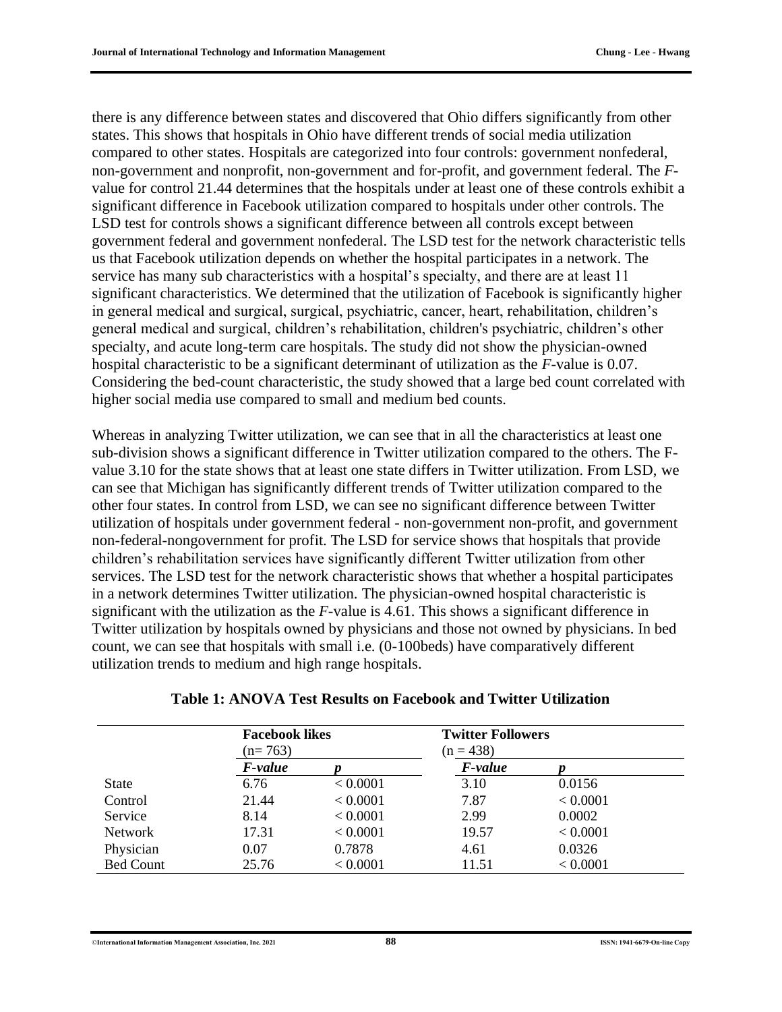there is any difference between states and discovered that Ohio differs significantly from other states. This shows that hospitals in Ohio have different trends of social media utilization compared to other states. Hospitals are categorized into four controls: government nonfederal, non-government and nonprofit, non-government and for-profit, and government federal. The *F*value for control 21.44 determines that the hospitals under at least one of these controls exhibit a significant difference in Facebook utilization compared to hospitals under other controls. The LSD test for controls shows a significant difference between all controls except between government federal and government nonfederal. The LSD test for the network characteristic tells us that Facebook utilization depends on whether the hospital participates in a network. The service has many sub characteristics with a hospital's specialty, and there are at least 11 significant characteristics. We determined that the utilization of Facebook is significantly higher in general medical and surgical, surgical, psychiatric, cancer, heart, rehabilitation, children's general medical and surgical, children's rehabilitation, children's psychiatric, children's other specialty, and acute long-term care hospitals. The study did not show the physician-owned hospital characteristic to be a significant determinant of utilization as the *F*-value is 0.07. Considering the bed-count characteristic, the study showed that a large bed count correlated with higher social media use compared to small and medium bed counts.

Whereas in analyzing Twitter utilization, we can see that in all the characteristics at least one sub-division shows a significant difference in Twitter utilization compared to the others. The Fvalue 3.10 for the state shows that at least one state differs in Twitter utilization. From LSD, we can see that Michigan has significantly different trends of Twitter utilization compared to the other four states. In control from LSD, we can see no significant difference between Twitter utilization of hospitals under government federal - non-government non-profit, and government non-federal-nongovernment for profit. The LSD for service shows that hospitals that provide children's rehabilitation services have significantly different Twitter utilization from other services. The LSD test for the network characteristic shows that whether a hospital participates in a network determines Twitter utilization. The physician-owned hospital characteristic is significant with the utilization as the *F*-value is 4.61. This shows a significant difference in Twitter utilization by hospitals owned by physicians and those not owned by physicians. In bed count, we can see that hospitals with small i.e. (0-100beds) have comparatively different utilization trends to medium and high range hospitals.

|                  | <b>Facebook likes</b><br>$(n=763)$ |          | <b>Twitter Followers</b><br>$(n = 438)$ |          |
|------------------|------------------------------------|----------|-----------------------------------------|----------|
|                  | F-value                            |          | <i>F-value</i>                          |          |
| <b>State</b>     | 6.76                               | < 0.0001 | 3.10                                    | 0.0156   |
| Control          | 21.44                              | < 0.0001 | 7.87                                    | < 0.0001 |
| Service          | 8.14                               | < 0.0001 | 2.99                                    | 0.0002   |
| <b>Network</b>   | 17.31                              | < 0.0001 | 19.57                                   | < 0.0001 |
| Physician        | 0.07                               | 0.7878   | 4.61                                    | 0.0326   |
| <b>Bed Count</b> | 25.76                              | < 0.0001 | 11.51                                   | < 0.0001 |

#### **Table 1: ANOVA Test Results on Facebook and Twitter Utilization**

©**International Information Management Association, Inc. 2021 88 ISSN: 1941-6679-On-line Copy**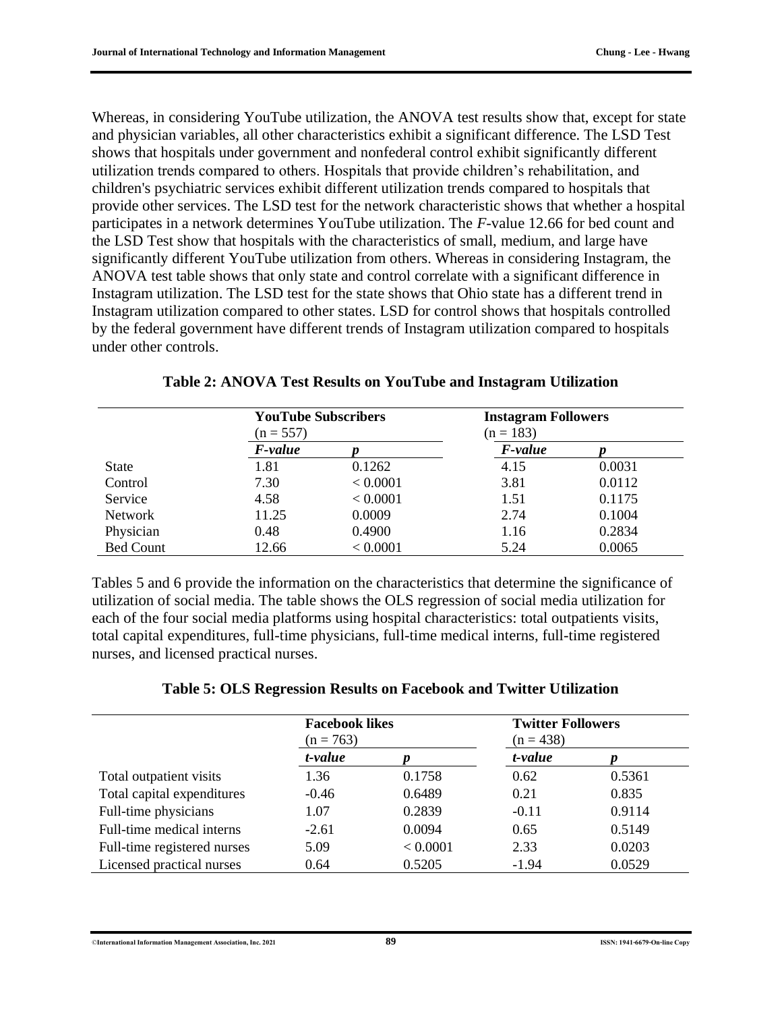Whereas, in considering YouTube utilization, the ANOVA test results show that, except for state and physician variables, all other characteristics exhibit a significant difference. The LSD Test shows that hospitals under government and nonfederal control exhibit significantly different utilization trends compared to others. Hospitals that provide children's rehabilitation, and children's psychiatric services exhibit different utilization trends compared to hospitals that provide other services. The LSD test for the network characteristic shows that whether a hospital participates in a network determines YouTube utilization. The *F*-value 12.66 for bed count and the LSD Test show that hospitals with the characteristics of small, medium, and large have significantly different YouTube utilization from others. Whereas in considering Instagram, the ANOVA test table shows that only state and control correlate with a significant difference in Instagram utilization. The LSD test for the state shows that Ohio state has a different trend in Instagram utilization compared to other states. LSD for control shows that hospitals controlled by the federal government have different trends of Instagram utilization compared to hospitals under other controls.

|                  | <b>YouTube Subscribers</b><br>$(n = 557)$ |          | <b>Instagram Followers</b><br>$(n = 183)$ |        |  |
|------------------|-------------------------------------------|----------|-------------------------------------------|--------|--|
|                  | <i>F-value</i>                            |          | <i>F-value</i>                            |        |  |
| <b>State</b>     | 1.81                                      | 0.1262   | 4.15                                      | 0.0031 |  |
| Control          | 7.30                                      | < 0.0001 | 3.81                                      | 0.0112 |  |
| Service          | 4.58                                      | < 0.0001 | 1.51                                      | 0.1175 |  |
| <b>Network</b>   | 11.25                                     | 0.0009   | 2.74                                      | 0.1004 |  |
| Physician        | 0.48                                      | 0.4900   | 1.16                                      | 0.2834 |  |
| <b>Bed Count</b> | 12.66                                     | < 0.0001 | 5.24                                      | 0.0065 |  |

|  |  | Table 2: ANOVA Test Results on YouTube and Instagram Utilization |
|--|--|------------------------------------------------------------------|
|--|--|------------------------------------------------------------------|

Tables 5 and 6 provide the information on the characteristics that determine the significance of utilization of social media. The table shows the OLS regression of social media utilization for each of the four social media platforms using hospital characteristics: total outpatients visits, total capital expenditures, full-time physicians, full-time medical interns, full-time registered nurses, and licensed practical nurses.

|  |  | Table 5: OLS Regression Results on Facebook and Twitter Utilization |  |
|--|--|---------------------------------------------------------------------|--|
|  |  |                                                                     |  |

|                             | <b>Facebook likes</b><br>$(n = 763)$<br>t-value |          | <b>Twitter Followers</b><br>$(n = 438)$ |        |
|-----------------------------|-------------------------------------------------|----------|-----------------------------------------|--------|
|                             |                                                 |          | t-value                                 |        |
| Total outpatient visits     | 1.36                                            | 0.1758   | 0.62                                    | 0.5361 |
| Total capital expenditures  | $-0.46$                                         | 0.6489   | 0.21                                    | 0.835  |
| Full-time physicians        | 1.07                                            | 0.2839   | $-0.11$                                 | 0.9114 |
| Full-time medical interns   | $-2.61$                                         | 0.0094   | 0.65                                    | 0.5149 |
| Full-time registered nurses | 5.09                                            | < 0.0001 | 2.33                                    | 0.0203 |
| Licensed practical nurses   | 0.64                                            | 0.5205   | $-1.94$                                 | 0.0529 |

©**International Information Management Association, Inc. 2021 89 ISSN: 1941-6679-On-line Copy**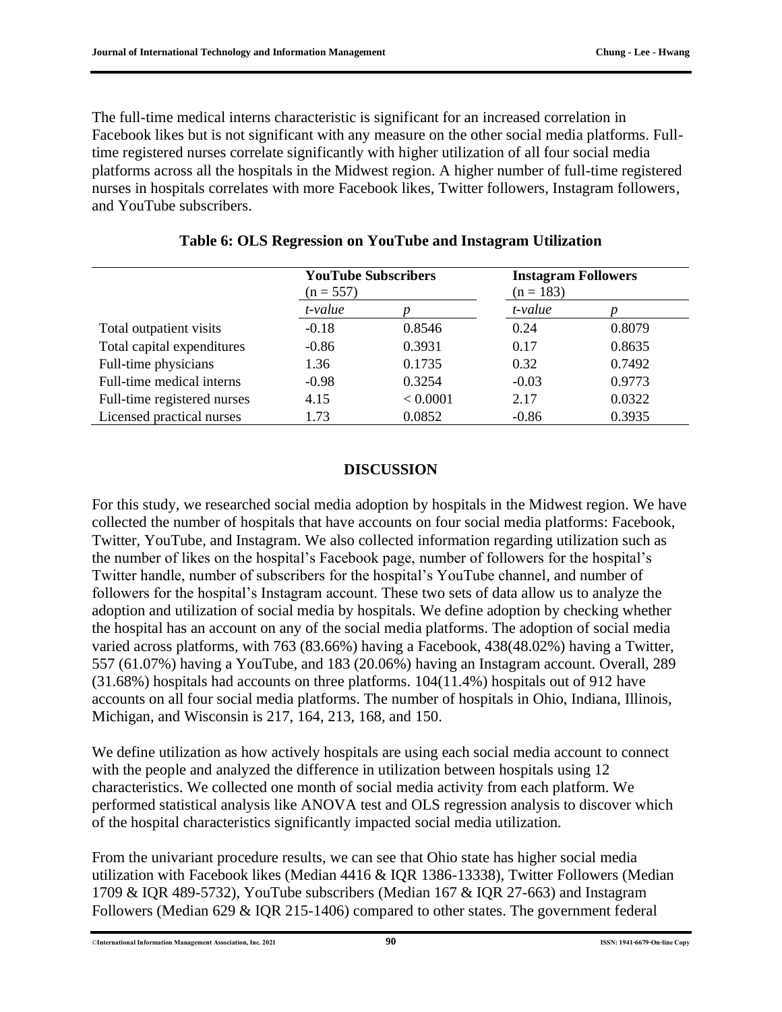The full-time medical interns characteristic is significant for an increased correlation in Facebook likes but is not significant with any measure on the other social media platforms. Fulltime registered nurses correlate significantly with higher utilization of all four social media platforms across all the hospitals in the Midwest region. A higher number of full-time registered nurses in hospitals correlates with more Facebook likes, Twitter followers, Instagram followers, and YouTube subscribers.

|                             | <b>YouTube Subscribers</b><br>$(n = 557)$<br>t-value |          | <b>Instagram Followers</b><br>$(n = 183)$ |        |
|-----------------------------|------------------------------------------------------|----------|-------------------------------------------|--------|
|                             |                                                      |          | t-value                                   |        |
| Total outpatient visits     | $-0.18$                                              | 0.8546   | 0.24                                      | 0.8079 |
| Total capital expenditures  | $-0.86$                                              | 0.3931   | 0.17                                      | 0.8635 |
| Full-time physicians        | 1.36                                                 | 0.1735   | 0.32                                      | 0.7492 |
| Full-time medical interns   | $-0.98$                                              | 0.3254   | $-0.03$                                   | 0.9773 |
| Full-time registered nurses | 4.15                                                 | < 0.0001 | 2.17                                      | 0.0322 |
| Licensed practical nurses   | 1.73                                                 | 0.0852   | $-0.86$                                   | 0.3935 |

**Table 6: OLS Regression on YouTube and Instagram Utilization**

#### **DISCUSSION**

For this study, we researched social media adoption by hospitals in the Midwest region. We have collected the number of hospitals that have accounts on four social media platforms: Facebook, Twitter, YouTube, and Instagram. We also collected information regarding utilization such as the number of likes on the hospital's Facebook page, number of followers for the hospital's Twitter handle, number of subscribers for the hospital's YouTube channel, and number of followers for the hospital's Instagram account. These two sets of data allow us to analyze the adoption and utilization of social media by hospitals. We define adoption by checking whether the hospital has an account on any of the social media platforms. The adoption of social media varied across platforms, with 763 (83.66%) having a Facebook, 438(48.02%) having a Twitter, 557 (61.07%) having a YouTube, and 183 (20.06%) having an Instagram account. Overall, 289 (31.68%) hospitals had accounts on three platforms. 104(11.4%) hospitals out of 912 have accounts on all four social media platforms. The number of hospitals in Ohio, Indiana, Illinois, Michigan, and Wisconsin is 217, 164, 213, 168, and 150.

We define utilization as how actively hospitals are using each social media account to connect with the people and analyzed the difference in utilization between hospitals using 12 characteristics. We collected one month of social media activity from each platform. We performed statistical analysis like ANOVA test and OLS regression analysis to discover which of the hospital characteristics significantly impacted social media utilization.

From the univariant procedure results, we can see that Ohio state has higher social media utilization with Facebook likes (Median 4416 & IQR 1386-13338), Twitter Followers (Median 1709 & IQR 489-5732), YouTube subscribers (Median 167 & IQR 27-663) and Instagram Followers (Median 629 & IQR 215-1406) compared to other states. The government federal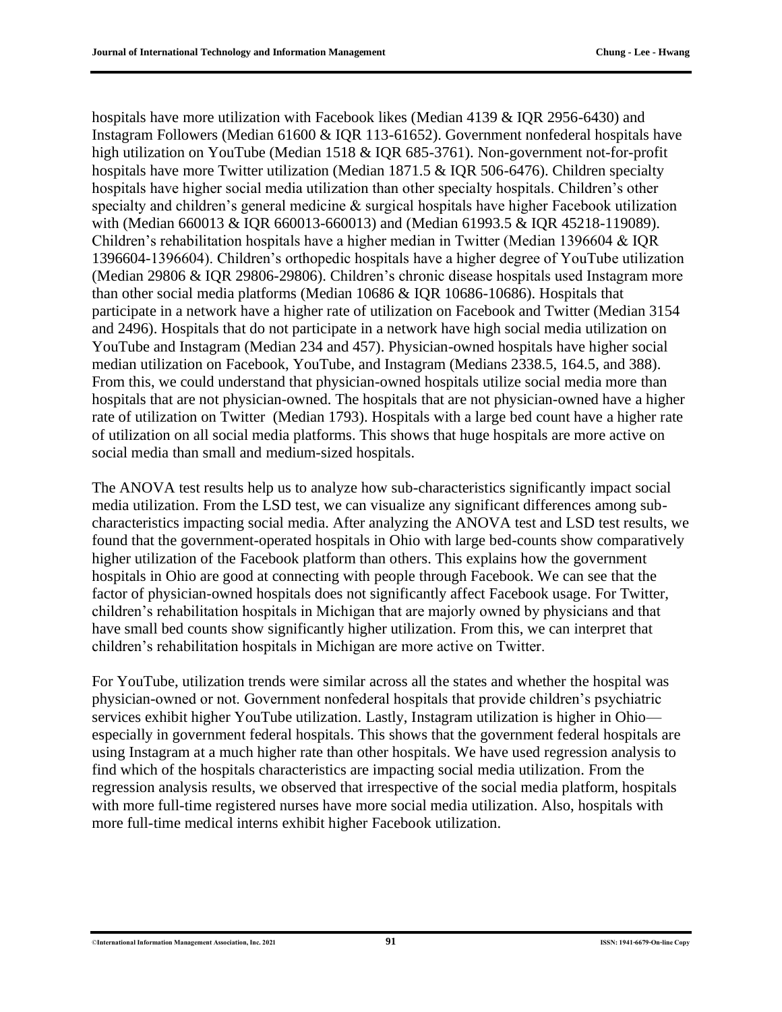hospitals have more utilization with Facebook likes (Median 4139 & IQR 2956-6430) and Instagram Followers (Median 61600 & IQR 113-61652). Government nonfederal hospitals have high utilization on YouTube (Median 1518 & IQR 685-3761). Non-government not-for-profit hospitals have more Twitter utilization (Median 1871.5 & IQR 506-6476). Children specialty hospitals have higher social media utilization than other specialty hospitals. Children's other specialty and children's general medicine & surgical hospitals have higher Facebook utilization with (Median 660013 & IQR 660013-660013) and (Median 61993.5 & IQR 45218-119089). Children's rehabilitation hospitals have a higher median in Twitter (Median 1396604 & IQR 1396604-1396604). Children's orthopedic hospitals have a higher degree of YouTube utilization (Median 29806 & IQR 29806-29806). Children's chronic disease hospitals used Instagram more than other social media platforms (Median 10686 & IQR 10686-10686). Hospitals that participate in a network have a higher rate of utilization on Facebook and Twitter (Median 3154 and 2496). Hospitals that do not participate in a network have high social media utilization on YouTube and Instagram (Median 234 and 457). Physician-owned hospitals have higher social median utilization on Facebook, YouTube, and Instagram (Medians 2338.5, 164.5, and 388). From this, we could understand that physician-owned hospitals utilize social media more than hospitals that are not physician-owned. The hospitals that are not physician-owned have a higher rate of utilization on Twitter (Median 1793). Hospitals with a large bed count have a higher rate of utilization on all social media platforms. This shows that huge hospitals are more active on social media than small and medium-sized hospitals.

The ANOVA test results help us to analyze how sub-characteristics significantly impact social media utilization. From the LSD test, we can visualize any significant differences among subcharacteristics impacting social media. After analyzing the ANOVA test and LSD test results, we found that the government-operated hospitals in Ohio with large bed-counts show comparatively higher utilization of the Facebook platform than others. This explains how the government hospitals in Ohio are good at connecting with people through Facebook. We can see that the factor of physician-owned hospitals does not significantly affect Facebook usage. For Twitter, children's rehabilitation hospitals in Michigan that are majorly owned by physicians and that have small bed counts show significantly higher utilization. From this, we can interpret that children's rehabilitation hospitals in Michigan are more active on Twitter.

For YouTube, utilization trends were similar across all the states and whether the hospital was physician-owned or not. Government nonfederal hospitals that provide children's psychiatric services exhibit higher YouTube utilization. Lastly, Instagram utilization is higher in Ohio especially in government federal hospitals. This shows that the government federal hospitals are using Instagram at a much higher rate than other hospitals. We have used regression analysis to find which of the hospitals characteristics are impacting social media utilization. From the regression analysis results, we observed that irrespective of the social media platform, hospitals with more full-time registered nurses have more social media utilization. Also, hospitals with more full-time medical interns exhibit higher Facebook utilization.

#### ©**International Information Management Association, Inc. 2021 91 ISSN: 1941-6679-On-line Copy**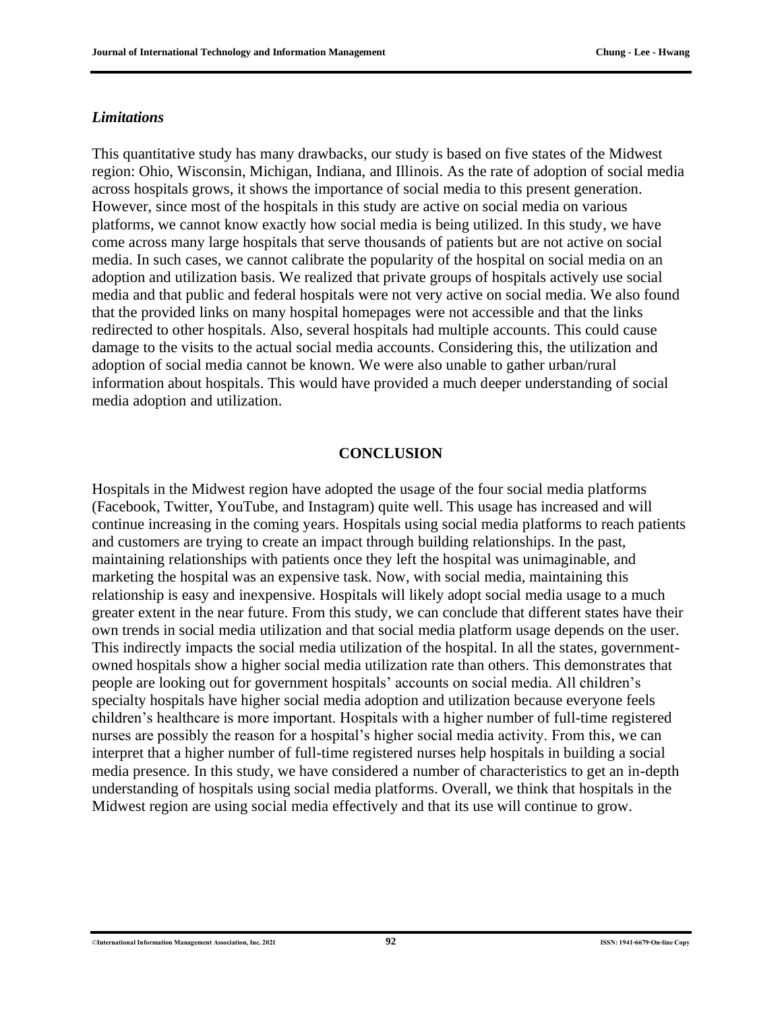#### *Limitations*

This quantitative study has many drawbacks, our study is based on five states of the Midwest region: Ohio, Wisconsin, Michigan, Indiana, and Illinois. As the rate of adoption of social media across hospitals grows, it shows the importance of social media to this present generation. However, since most of the hospitals in this study are active on social media on various platforms, we cannot know exactly how social media is being utilized. In this study, we have come across many large hospitals that serve thousands of patients but are not active on social media. In such cases, we cannot calibrate the popularity of the hospital on social media on an adoption and utilization basis. We realized that private groups of hospitals actively use social media and that public and federal hospitals were not very active on social media. We also found that the provided links on many hospital homepages were not accessible and that the links redirected to other hospitals. Also, several hospitals had multiple accounts. This could cause damage to the visits to the actual social media accounts. Considering this, the utilization and adoption of social media cannot be known. We were also unable to gather urban/rural information about hospitals. This would have provided a much deeper understanding of social media adoption and utilization.

#### **CONCLUSION**

Hospitals in the Midwest region have adopted the usage of the four social media platforms (Facebook, Twitter, YouTube, and Instagram) quite well. This usage has increased and will continue increasing in the coming years. Hospitals using social media platforms to reach patients and customers are trying to create an impact through building relationships. In the past, maintaining relationships with patients once they left the hospital was unimaginable, and marketing the hospital was an expensive task. Now, with social media, maintaining this relationship is easy and inexpensive. Hospitals will likely adopt social media usage to a much greater extent in the near future. From this study, we can conclude that different states have their own trends in social media utilization and that social media platform usage depends on the user. This indirectly impacts the social media utilization of the hospital. In all the states, governmentowned hospitals show a higher social media utilization rate than others. This demonstrates that people are looking out for government hospitals' accounts on social media. All children's specialty hospitals have higher social media adoption and utilization because everyone feels children's healthcare is more important. Hospitals with a higher number of full-time registered nurses are possibly the reason for a hospital's higher social media activity. From this, we can interpret that a higher number of full-time registered nurses help hospitals in building a social media presence. In this study, we have considered a number of characteristics to get an in-depth understanding of hospitals using social media platforms. Overall, we think that hospitals in the Midwest region are using social media effectively and that its use will continue to grow.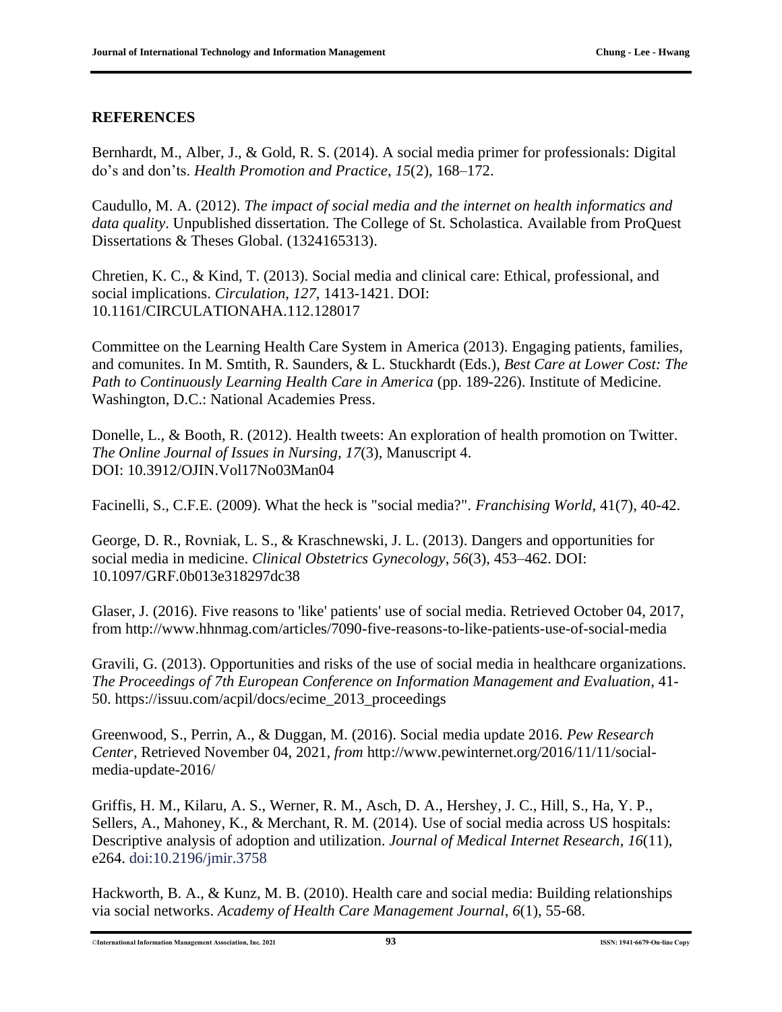#### **REFERENCES**

Bernhardt, M., Alber, J., & Gold, R. S. (2014). A social media primer for professionals: Digital do's and don'ts. *Health Promotion and Practice*, *15*(2), 168–172.

Caudullo, M. A. (2012). *The impact of social media and the internet on health informatics and data quality*. Unpublished dissertation. The College of St. Scholastica. Available from ProQuest Dissertations & Theses Global. (1324165313).

Chretien, K. C., & Kind, T. (2013). Social media and clinical care: Ethical, professional, and social implications. *Circulation*, *127*, 1413-1421. DOI: 10.1161/CIRCULATIONAHA.112.128017

Committee on the Learning Health Care System in America (2013). Engaging patients, families, and comunites. In M. Smtith, R. Saunders, & L. Stuckhardt (Eds.), *Best Care at Lower Cost: The Path to Continuously Learning Health Care in America* (pp. 189-226). Institute of Medicine. Washington, D.C.: National Academies Press.

Donelle, L., & Booth, R. (2012). Health tweets: An exploration of health promotion on Twitter. *The Online Journal of Issues in Nursing, 17*(3), Manuscript 4. DOI: 10.3912/OJIN.Vol17No03Man04

Facinelli, S., C.F.E. (2009). What the heck is "social media?". *Franchising World*, 41(7), 40-42.

George, D. R., Rovniak, L. S., & Kraschnewski, J. L. (2013). Dangers and opportunities for social media in medicine. *Clinical Obstetrics Gynecology*, *56*(3), 453–462. DOI: 10.1097/GRF.0b013e318297dc38

Glaser, J. (2016). Five reasons to 'like' patients' use of social media. Retrieved October 04, 2017, from http://www.hhnmag.com/articles/7090-five-reasons-to-like-patients-use-of-social-media

Gravili, G. (2013). Opportunities and risks of the use of social media in healthcare organizations. *The Proceedings of 7th European Conference on Information Management and Evaluation*, 41- 50. https://issuu.com/acpil/docs/ecime\_2013\_proceedings

Greenwood, S., Perrin, A., & Duggan, M. (2016). Social media update 2016. *Pew Research Center,* Retrieved November 04, 2021, *from* http://www.pewinternet.org/2016/11/11/socialmedia-update-2016/

Griffis, H. M., Kilaru, A. S., Werner, R. M., Asch, D. A., Hershey, J. C., Hill, S., Ha, Y. P., Sellers, A., Mahoney, K., & Merchant, R. M. (2014). Use of social media across US hospitals: Descriptive analysis of adoption and utilization. *Journal of Medical Internet Research*, *16*(11), e264. doi:10.2196/jmir.3758

Hackworth, B. A., & Kunz, M. B. (2010). Health care and social media: Building relationships via social networks. *Academy of Health Care Management Journal*, *6*(1), 55-68.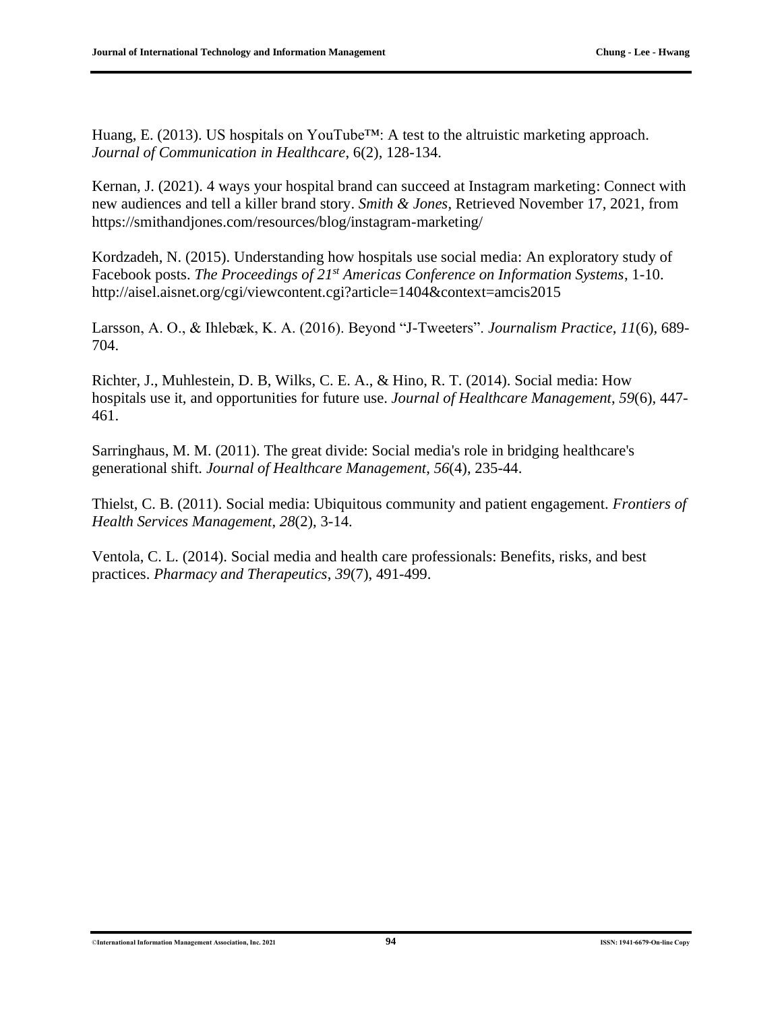Huang, E. (2013). US hospitals on YouTube™: A test to the altruistic marketing approach. *Journal of Communication in Healthcare*, 6(2), 128-134.

Kernan, J. (2021). 4 ways your hospital brand can succeed at Instagram marketing: Connect with new audiences and tell a killer brand story. *Smith & Jones*, Retrieved November 17, 2021, from https://smithandjones.com/resources/blog/instagram-marketing/

Kordzadeh, N. (2015). Understanding how hospitals use social media: An exploratory study of Facebook posts. *The Proceedings of 21st Americas Conference on Information Systems*, 1-10. http://aisel.aisnet.org/cgi/viewcontent.cgi?article=1404&context=amcis2015

Larsson, A. O., & Ihlebæk, K. A. (2016). Beyond "J-Tweeters". *Journalism Practice*, *11*(6), 689- 704.

Richter, J., Muhlestein, D. B, Wilks, C. E. A., & Hino, R. T. (2014). Social media: How hospitals use it, and opportunities for future use. *Journal of Healthcare Management*, *59*(6), 447- 461.

Sarringhaus, M. M. (2011). The great divide: Social media's role in bridging healthcare's generational shift. *Journal of Healthcare Management*, *56*(4), 235-44.

Thielst, C. B. (2011). Social media: Ubiquitous community and patient engagement. *Frontiers of Health Services Management*, *28*(2), 3-14.

Ventola, C. L. (2014). Social media and health care professionals: Benefits, risks, and best practices. *Pharmacy and Therapeutics*, *39*(7), 491-499.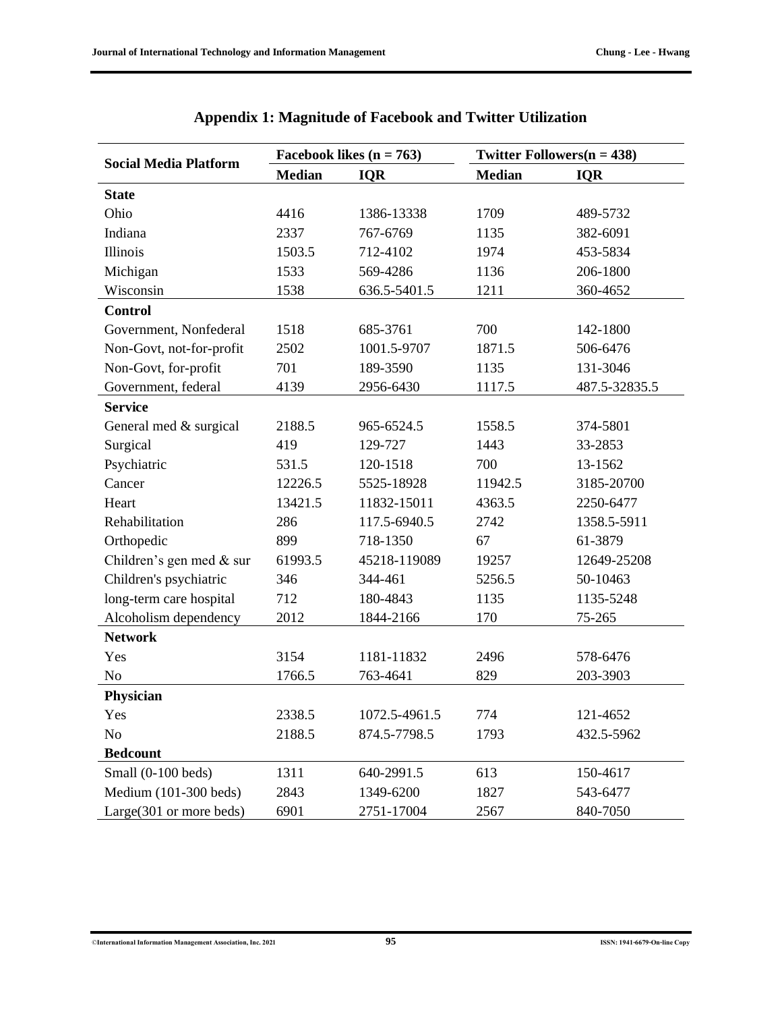| <b>Social Media Platform</b> |               | Facebook likes $(n = 763)$ | Twitter Followers $(n = 438)$ |               |  |
|------------------------------|---------------|----------------------------|-------------------------------|---------------|--|
|                              | <b>Median</b> | <b>IQR</b>                 | <b>Median</b>                 | <b>IQR</b>    |  |
| <b>State</b>                 |               |                            |                               |               |  |
| Ohio                         | 4416          | 1386-13338                 | 1709                          | 489-5732      |  |
| Indiana                      | 2337          | 767-6769                   | 1135                          | 382-6091      |  |
| Illinois                     | 1503.5        | 712-4102                   | 1974                          | 453-5834      |  |
| Michigan                     | 1533          | 569-4286                   | 1136                          | 206-1800      |  |
| Wisconsin                    | 1538          | 636.5-5401.5               | 1211                          | 360-4652      |  |
| <b>Control</b>               |               |                            |                               |               |  |
| Government, Nonfederal       | 1518          | 685-3761                   | 700                           | 142-1800      |  |
| Non-Govt, not-for-profit     | 2502          | 1001.5-9707                | 1871.5                        | 506-6476      |  |
| Non-Govt, for-profit         | 701           | 189-3590                   | 1135                          | 131-3046      |  |
| Government, federal          | 4139          | 2956-6430                  | 1117.5                        | 487.5-32835.5 |  |
| <b>Service</b>               |               |                            |                               |               |  |
| General med & surgical       | 2188.5        | 965-6524.5                 | 1558.5                        | 374-5801      |  |
| Surgical                     | 419           | 129-727                    | 1443                          | 33-2853       |  |
| Psychiatric                  | 531.5         | 120-1518                   | 700                           | 13-1562       |  |
| Cancer                       | 12226.5       | 5525-18928                 | 11942.5                       | 3185-20700    |  |
| Heart                        | 13421.5       | 11832-15011                | 4363.5                        | 2250-6477     |  |
| Rehabilitation               | 286           | 117.5-6940.5               | 2742                          | 1358.5-5911   |  |
| Orthopedic                   | 899           | 718-1350                   | 67                            | 61-3879       |  |
| Children's gen med & sur     | 61993.5       | 45218-119089               | 19257                         | 12649-25208   |  |
| Children's psychiatric       | 346           | 344-461                    | 5256.5                        | 50-10463      |  |
| long-term care hospital      | 712           | 180-4843                   | 1135                          | 1135-5248     |  |
| Alcoholism dependency        | 2012          | 1844-2166                  | 170                           | 75-265        |  |
| <b>Network</b>               |               |                            |                               |               |  |
| Yes                          | 3154          | 1181-11832                 | 2496                          | 578-6476      |  |
| N <sub>0</sub>               | 1766.5        | 763-4641                   | 829                           | 203-3903      |  |
| Physician                    |               |                            |                               |               |  |
| Yes                          | 2338.5        | 1072.5-4961.5              | 774                           | 121-4652      |  |
| No                           | 2188.5        | 874.5-7798.5               | 1793                          | 432.5-5962    |  |
| <b>Bedcount</b>              |               |                            |                               |               |  |
| Small (0-100 beds)           | 1311          | 640-2991.5                 | 613                           | 150-4617      |  |
| Medium (101-300 beds)        | 2843          | 1349-6200                  | 1827                          | 543-6477      |  |
| Large(301 or more beds)      | 6901          | 2751-17004                 | 2567                          | 840-7050      |  |

|  |  |  |  |  | Appendix 1: Magnitude of Facebook and Twitter Utilization |  |  |  |  |  |  |  |  |  |  |
|--|--|--|--|--|-----------------------------------------------------------|--|--|--|--|--|--|--|--|--|--|
|--|--|--|--|--|-----------------------------------------------------------|--|--|--|--|--|--|--|--|--|--|

©**International Information Management Association, Inc. 2021 95 ISSN: 1941-6679-On-line Copy**